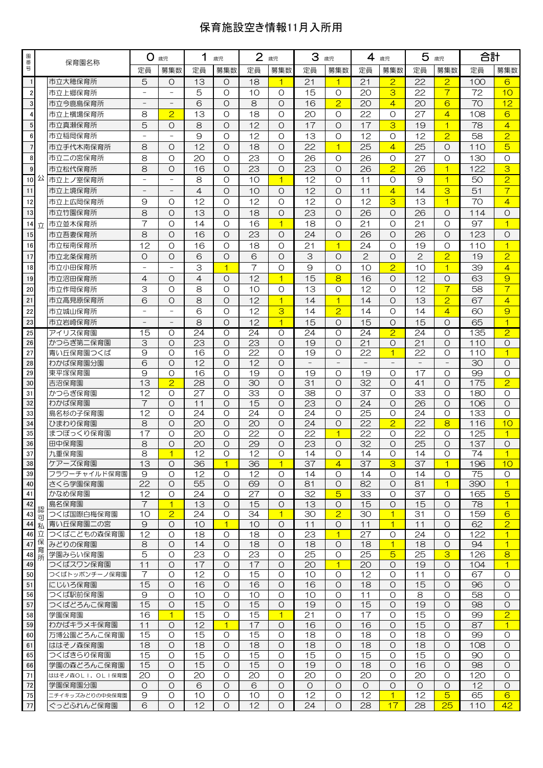## 保育施設空き情報11月入所用

| 園番             |        | 保育園名称                         | O.<br>歳児                 |                     | 1<br>歳児             |                              | $\mathbf{2}$<br>歳児  |                      | 3<br>歳児         |                            | 4<br>歳児               |                           | 5<br>歳児              |                                  | 合計         |                                   |
|----------------|--------|-------------------------------|--------------------------|---------------------|---------------------|------------------------------|---------------------|----------------------|-----------------|----------------------------|-----------------------|---------------------------|----------------------|----------------------------------|------------|-----------------------------------|
| 믁              |        |                               | 定員                       | 募集数                 | 定員                  | 募集数                          | 定員                  | 募集数                  | 定員              | 募集数                        | 定員                    | 募集数                       | 定員                   | 募集数                              | 定員         | 募集数                               |
| $\mathbf{1}$   |        | 市立大穂保育所                       | 5                        | $\circ$             | 13                  | O                            | 18                  | 1                    | 21              | $\overline{1}$             | 21                    | $\overline{2}$            | 22                   | $\overline{2}$                   | 100        | 6                                 |
| $\overline{2}$ |        | 市立上郷保育所                       |                          |                     | 5                   | $\circ$                      | 10                  | $\Omega$             | 15              | $\circ$                    | 20                    | 3                         | 22                   | $\overline{7}$                   | 72         | 10                                |
| $\mathbf 3$    |        | 市立今鹿島保育所                      | $\overline{\phantom{0}}$ |                     | 6                   | $\Omega$                     | 8                   | $\Omega$             | 16              | $\overline{2}$             | 20                    | $\overline{4}$            | 20                   | 6                                | 70         | 12                                |
| $\overline{4}$ |        | 市立上横場保育所                      | 8                        | $\overline{2}$      | 13                  | $\Omega$                     | 18                  | $\Omega$             | 20              | $\Omega$                   | 22                    | $\circ$                   | 27                   | $\overline{4}$                   | 108        | 6                                 |
| $\sqrt{5}$     |        | 市立真瀬保育所                       | 5                        | $\circ$             | 8                   | $\Omega$                     | 12                  | $\Omega$             | 17              | $\Omega$                   | 17                    | 3                         | 19                   | $\overline{1}$                   | 78         | $\overline{4}$                    |
| $\bf 6$        |        | 市立稲岡保育所                       |                          |                     | 9                   | O                            | 12                  | $\Omega$             | 13              | $\Omega$                   | 12                    | $\circ$                   | 12                   | $\overline{2}$                   | 58         | $\overline{2}$                    |
| $\overline{7}$ |        | 市立手代木南保育所                     | 8                        | $\circ$             | 12                  | $\Omega$                     | 18                  | $\Omega$             | 22              | $\overline{1}$             | 25                    | $\overline{4}$            | 25                   | $\circ$                          | 110        | $\overline{5}$                    |
| 8              |        | 市立二の宮保育所                      | 8                        | $\circ$             | 20                  | O                            | 23                  | $\Omega$             | 26              | O                          | 26                    | $\circ$                   | 27                   | O                                | 130        | O                                 |
| $\overline{9}$ |        | 市立松代保育所                       | 8                        | $\circ$             | 16                  | $\circ$                      | 23                  | $\Omega$             | 23              | $\Omega$                   | 26                    | $\overline{2}$            | 26                   | $\overline{1}$                   | 122        | 3                                 |
| 10公            |        | 市立上ノ宰保育所                      |                          |                     | 8                   | O                            | 10                  | $\overline{1}$       | 12              | $\Omega$                   | 11                    | $\circ$                   | 9                    | $\overline{1}$                   | 50         | $\overline{2}$                    |
| 11             |        | 市立上境保育所                       |                          |                     | $\overline{4}$      | $\Omega$                     | 10                  | $\Omega$             | 12              | $\Omega$                   | 11                    | $\overline{4}$            | 14                   | 3                                | 51         | $\overline{\tau}$                 |
| 12             |        | 市立上広岡保育所                      | 9                        | $\circ$             | 12                  | O                            | 12                  | $\Omega$             | 12              | $\Omega$                   | 12                    | 3                         | 13                   | $\overline{1}$                   | 70         | $\overline{4}$                    |
| 13             |        | 市立竹園保育所                       | 8                        | $\circ$             | 13                  | $\circ$                      | 18                  | $\Omega$             | 23              | $\Omega$                   | 26                    | $\Omega$                  | 26                   | $\circ$                          | 114        | O                                 |
| 14             | 立      | 市立並木保育所                       | $\overline{7}$           | $\Omega$            | 14                  | $\Omega$                     | 16                  | $\overline{1}$       | 18              | $\Omega$                   | 21                    | $\Omega$                  | 21                   | $\circ$                          | 97         | $\overline{1}$                    |
| 15             |        | 市立吾妻保育所                       | 8<br>12                  | $\circ$             | 16                  | $\circ$                      | 23                  | $\Omega$             | 24              | $\Omega$                   | 26                    | $\Omega$                  | 26                   | $\circ$                          | 123        | O                                 |
| 16             |        | 市立桜南保育所                       |                          | $\circ$<br>$\circ$  | 16                  | $\circ$                      | 18                  | $\Omega$             | 21              | $\overline{1}$<br>$\Omega$ | 24<br>$\overline{2}$  | $\circ$<br>$\Omega$       | 19<br>$\overline{2}$ | O                                | 110        | $\overline{1}$                    |
| 17             |        | 市立北条保育所                       | O                        |                     | 6                   | O<br>$\overline{\mathbf{1}}$ | 6<br>$\overline{7}$ | $\Omega$<br>$\Omega$ | 3<br>9          | $\circ$                    | 10                    |                           | 10                   | $\overline{2}$<br>$\overline{1}$ | 19         | $\overline{2}$<br>$\overline{4}$  |
| 18<br>19       |        | 市立小田保育所                       | $\overline{4}$           | $\circ$             | 3<br>$\overline{4}$ | $\circ$                      | 12                  | $\overline{1}$       | 15              | 8                          | 16                    | $\overline{2}$<br>$\circ$ | 12                   | $\circ$                          | 39<br>63   | $\overline{9}$                    |
| 20             |        | 市立沼田保育所                       | 3                        | $\circ$             | 8                   | O                            | 10                  | $\circ$              | 13              | O                          | 12                    | O                         | 12                   | $\overline{7}$                   | 58         | $\overline{\tau}$                 |
| 21             |        | 市立作岡保育所                       | 6                        | $\circ$             | 8                   | $\circ$                      | 12                  | $\overline{1}$       | 14              | $\overline{1}$             | 14                    | $\circ$                   | 13                   | $\overline{2}$                   | 67         | $\overline{4}$                    |
| 22             |        | 市立高見原保育所<br>市立城山保育所           |                          |                     | 6                   | O                            | 12                  | 3                    | 14              | $\overline{2}$             | 14                    | O                         | 14                   | $\overline{4}$                   | 60         | 9                                 |
| 23             |        | 市立岩崎保育所                       |                          |                     | 8                   | $\Omega$                     | 12                  | $\overline{1}$       | 15              | $\Omega$                   | 15                    | $\Omega$                  | 15                   | $\circ$                          | 65         | $\overline{1}$                    |
| 25             |        | アイリス保育園                       | 15                       | $\circ$             | 24                  | $\circ$                      | 24                  | $\circ$              | 24              | O                          | 24                    | $\overline{2}$            | 24                   | O                                | 135        | $\overline{2}$                    |
| 26             |        | かつらぎ第二保育園                     | 3                        | $\Omega$            | 23                  | $\Omega$                     | 23                  | $\Omega$             | 19              | $\Omega$                   | 21                    | $\Omega$                  | 21                   | $\Omega$                         | 110        | $\Omega$                          |
| 27             |        | 青い丘保育園つくば                     | 9                        | O                   | 16                  | $\circ$                      | 22                  | $\Omega$             | 19              | O                          | 22                    | $\overline{1}$            | 22                   | O                                | 110        | $\overline{1}$                    |
| 28             |        | わかば保育園分園                      | 6                        | $\circ$             | 12                  | $\circ$                      | 12                  | $\Omega$             |                 | $\qquad \qquad -$          |                       |                           |                      | $\overline{\phantom{a}}$         | 30         | $\circ$                           |
| 29             |        | 東平塚保育園                        | 9                        | $\Omega$            | 16                  | $\Omega$                     | 19                  | $\Omega$             | 19              | $\Omega$                   | 19                    | O                         | 17                   | O                                | 99         | $\circ$                           |
| 30             |        | 吉沼保育園                         | 13                       | $\overline{2}$      | $\overline{28}$     | $\circ$                      | 30                  | $\Omega$             | 31              | $\Omega$                   | $\overline{32}$       | $\Omega$                  | 41                   | $\circ$                          | 175        | $\overline{2}$                    |
| 31             |        | かつらぎ保育園                       | 12                       | $\circ$             | 27                  | O                            | 33                  | $\Omega$             | 38              | O                          | 37                    | O                         | 33                   | O                                | 180        | O                                 |
| 32             |        | わかば保育園                        | $\overline{7}$           | $\Omega$            | 11                  | $\Omega$                     | 15                  | $\Omega$             | 23              | $\Omega$                   | 24                    | $\Omega$                  | 26                   | $\Omega$                         | 106        | $\circ$                           |
| 33<br>34       |        | 島名杉の子保育園<br>ひまわり保育園           | $\overline{12}$<br>8     | $\circ$<br>$\circ$  | 24<br>20            | $\overline{O}$<br>$\circ$    | 24<br>20            | $\circ$<br>$\Omega$  | 24<br>24        | $\circ$<br>O               | 25<br>$\overline{22}$ | $\circ$<br>$\overline{2}$ | 24<br>22             | $\circ$<br>8                     | 133<br>116 | $\circ$<br>10                     |
| 35             |        | まつぼっくり保育園                     | 17                       | O                   | 20                  | Ο                            | 22                  | $\Omega$             | 22              | 1                          | 22                    | O                         | 22                   | O                                | 125        | 1                                 |
| 36             |        | 田中保育園                         | 8                        | $\circ$             | 20                  | O                            | 29                  | $\Omega$             | $\overline{23}$ | $\circ$                    | $\overline{32}$       | O                         | $\overline{25}$      | $\circ$                          | 137        | $\circ$                           |
| 37             |        | 九重保育園                         | 8                        | $\overline{1}$      | 12                  | $\Omega$                     | 12                  | $\Omega$             | 14              | $\Omega$                   | 14                    | $\Omega$                  | 14                   | $\Omega$                         | 74         |                                   |
| 38             |        | ケアーズ保育園                       | 13                       | O                   | 36                  | 1                            | 36                  | $\mathbf 1$          | 37              | 4                          | 37                    | 3                         | 37                   | 1.                               | 196        | 10                                |
| 39             |        | フラワーチャイルド保育園                  | $\Theta$                 | $\circ$             | 12                  | $\circ$                      | 12                  | $\circ$              | 14              | $\circ$                    | 14                    | O                         | 14                   | $\circ$                          | 75         | $\circ$                           |
| 40             |        | さくら学園保育園                      | 22                       | $\circ$             | 55                  | $\circ$                      | 69                  | $\circ$              | 81              | $\circ$                    | 82                    | $\circ$                   | 81                   | $\overline{1}$                   | 390        | $\vert$ 1                         |
| 41             |        | かなめ保育園                        | 12                       | $\circ$             | 24                  | $\circ$                      | 27                  | $\circ$              | 32              | $\overline{5}$             | 33                    | O                         | 37                   | O                                | 165        | $\overline{5}$                    |
| 42<br>43       | 認      | 島名保育園<br>つくば国際白梅保育園           | 7<br>10                  | 1<br>$\overline{2}$ | 13<br>24            | O<br>O                       | 15<br>34            | O<br>$\mathbf{1}$    | 13<br>30        | $\circ$<br>$\overline{2}$  | 15<br>30              | O<br>$\overline{1}$       | 15<br>31             | $\circ$<br>O                     | 78<br>159  | $\overline{1}$<br>$6\overline{6}$ |
| 44 私           | 可      | 青い丘保育園二の宮                     | 9                        | $\circ$             | 10                  | $\overline{1}$               | 10                  | $\circ$              | 11              | O                          | 11                    | $\overline{1}$            | 11                   | $\circ$                          | 62         | $\overline{2}$                    |
| 46 立           |        | つくばこどもの森保育園                   | $\overline{12}$          | $\Omega$            | 18                  | $\circ$                      | 18                  | $\circ$              | $\overline{23}$ | $\overline{1}$             | $\overline{27}$       | O                         | 24                   | $\circ$                          | 122        | $\mathbf{1}$                      |
| 47             | 保      | みどりの保育園                       | 8                        | $\circ$             | 14                  | $\circ$                      | 18                  | $\circ$              | 18              | $\circ$                    | 18                    | $\overline{1}$            | 18                   | $\circ$                          | 94         | $\overline{1}$                    |
| 48             | 育<br>所 | 学園みらい保育園                      | $\overline{5}$           | O                   | 23                  | $\circ$                      | 23                  | O                    | 25              | O                          | 25                    | $\overline{5}$            | 25                   | 3                                | 126        | 8                                 |
| 49             |        | つくばスワン保育園                     | 11                       | $\circ$             | 17                  | O                            | 17                  | $\circ$              | 20              | $\mathbf{1}$               | 20                    | O                         | 19                   | O                                | 104        | $\overline{1}$                    |
| 50             |        | つくばトッポンチーノ保育園                 | 7                        | O                   | 12                  | $\circ$                      | 15                  | $\circ$              | 10              | O                          | 12                    | O                         | 11                   | $\circ$                          | 67         | $\circ$                           |
| 51             |        | にじいろ保育園                       | 15                       | $\circ$             | 16                  | O                            | 16                  | $\circ$              | 16              | $\circ$                    | 18                    | O                         | 15                   | $\circ$                          | 96         | $\circ$                           |
| 56             |        | つくば駅前保育園                      | 9<br>15                  | $\circ$<br>$\circ$  | 10<br>15            | $\circ$<br>$\circ$           | 10<br>15            | $\Omega$<br>$\circ$  | 10<br>19        | $\Omega$<br>$\circ$        | 11<br>15              | $\circ$<br>$\bigcirc$     | 8<br>19              | $\circ$<br>$\circ$               | 58<br>98   | $\circ$<br>$\circ$                |
| 57<br>58       |        | つくばどろんこ保育園<br>学園保育園           | 16                       | $\overline{1}$      | 15                  | O                            | 15                  | $\overline{1}$       | 21              | $\circ$                    | 17                    | O                         | 15                   | O                                | 99         | $\overline{2}$                    |
| 59             |        | わかばキラメキ保育園                    | 11                       | $\circ$             | 12                  | 1                            | 17                  | O                    | 16              | $\Omega$                   | 16                    | O                         | 15                   | O                                | 87         | $\mathbf 1$                       |
| 60             |        | 万博公園どろんこ保育園                   | 15                       | $\circ$             | 15                  | $\circ$                      | 15                  | $\circ$              | 18              | $\circ$                    | 18                    | $\circ$                   | 18                   | $\circ$                          | 99         | $\circ$                           |
| 61             |        | ははそノ森保育園                      | 18                       | $\circ$             | 18                  | $\circ$                      | 18                  | $\circ$              | 18              | $\circ$                    | 18                    | $\circ$                   | 18                   | $\circ$                          | 108        | $\circ$                           |
| 65             |        | つくばきらり保育園                     | 15                       | $\circ$             | 15                  | $\circ$                      | 15                  | $\circ$              | 15              | $\circ$                    | 15                    | O                         | 15                   | $\circ$                          | 90         | 0                                 |
| 66             |        | 学園の森どろんこ保育園                   | 15                       | $\circ$             | 15                  | $\circ$                      | 15                  | $\circ$              | 19              | $\circ$                    | 18                    | O                         | 16                   | $\circ$                          | 98         | $\circ$                           |
| 71             |        | ははそノ森OLI,OLI保育園               | 20                       | O                   | 20                  | $\circ$                      | 20                  | $\circ$              | 20              | $\circ$                    | 20                    | O                         | 20                   | O                                | 120        | $\circ$                           |
| 72             |        | 学園保育園分園                       | O                        | 0                   | 6                   | O                            | 6                   | O                    | O               | O                          | O                     | O                         | O                    | O                                | 12         | O                                 |
| 75<br>77       |        | ニチイキッズみどりの中央保育園<br>ぐっどふれんど保育園 | $\Theta$<br>6            | O<br>$\circ$        | 10<br>12            | $\circ$<br>$\circ$           | 10<br>12            | O<br>$\circ$         | 12<br>24        | $\circ$<br>O               | 12<br>28              | $\mathbf{1}$<br>17        | 12<br>28             | $\overline{5}$<br>25             | 65<br>110  | 6<br>42                           |
|                |        |                               |                          |                     |                     |                              |                     |                      |                 |                            |                       |                           |                      |                                  |            |                                   |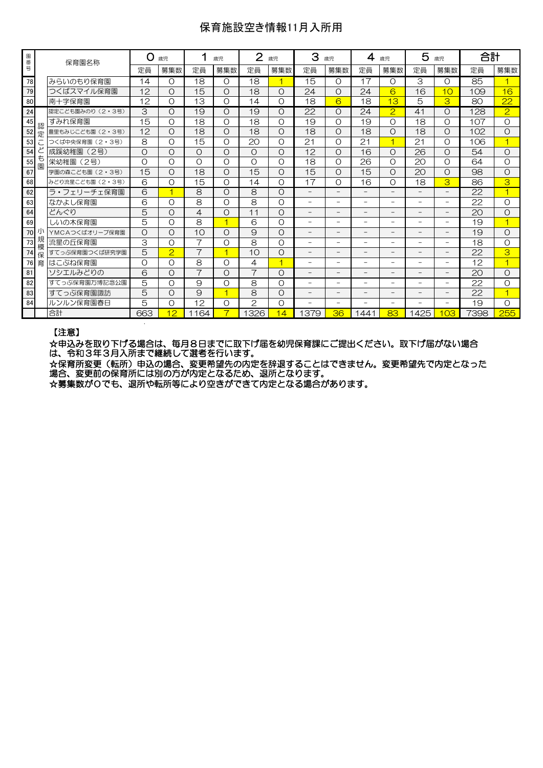## 保育施設空き情報11月入所用

| 園番号 |        | 保育園名称            | O        | 歳児                      |                | $\overline{2}$<br>歳児<br>歳児 |                |                | З<br>歳児                  |                          | 4<br>歳児                  |                          | 5<br>歳児                  |                          | 合計   |                         |
|-----|--------|------------------|----------|-------------------------|----------------|----------------------------|----------------|----------------|--------------------------|--------------------------|--------------------------|--------------------------|--------------------------|--------------------------|------|-------------------------|
|     |        |                  | 定員       | 募集数                     | 定員             | 募集数                        | 定員             | 募集数            | 定員                       | 募集数                      | 定員                       | 募集数                      | 定員                       | 募集数                      | 定員   | 募集数                     |
| 78  |        | みらいのもり保育園        | 14       | O                       | 18             | $\Omega$                   | 18             |                | 15                       | $\Omega$                 | 17                       | $\Omega$                 | 3                        | O                        | 85   |                         |
| 79  |        | つくばスマイル保育園       | 12       | $\circ$                 | 15             | O                          | 18             | $\Omega$       | 24                       | O                        | 24                       | 6                        | 16                       | 10                       | 109  | 16                      |
| 80  |        | 南十字保育園           | 12       | O                       | 13             | O                          | 14             | Ω              | 18                       | 6                        | 18                       | 13                       | 5                        | 3                        | 80   | 22                      |
| 24  |        | 認定こども園みのり (2・3号) | 3        | $\circ$                 | 19             | O                          | 19             | Ο              | 22                       | O                        | 24                       | $\overline{2}$           | 41                       | O                        | 128  | $\overline{2}$          |
| 45  | 認      | すみれ保育園           | 15       | O                       | 18             | $\Omega$                   | 18             | $\Omega$       | 19                       | $\Omega$                 | 19                       | O                        | 18                       | O                        | 107  | $\Omega$                |
| 52  | 定      | 豊里もみじこども園 (2・3号) | 12       | O                       | 18             | O                          | 18             | Ο              | 18                       | O                        | 18                       | O                        | 18                       | $\circ$                  | 102  | O                       |
| 53  |        | つくば中央保育園 (2・3号)  | 8        | O                       | 15             | $\Omega$                   | 20             | $\Omega$       | 21                       | $\Omega$                 | 21                       | ⊣                        | 21                       | $\Omega$                 | 106  |                         |
| 54  |        | 成蹊幼稚園<br>(2号)    | $\circ$  | $\circ$                 | $\circ$        | $\Omega$                   | $\Omega$       | $\Omega$       | 12                       | $\Omega$                 | 16                       | Ω                        | $\overline{26}$          | $\circ$                  | 54   | $\Omega$                |
| 55  | も<br>園 | 栄幼稚園<br>(2号)     | $\Omega$ | O                       | $\Omega$       | $\Omega$                   | $\Omega$       | $\Omega$       | 18                       | $\Omega$                 | 26                       | $\Omega$                 | 20                       | $\Omega$                 | 64   | $\Omega$                |
| 67  |        | 学園の森こども園 (2・3号)  | 15       | $\circ$                 | 18             | O                          | 15             | Ω              | 15                       | $\Omega$                 | 15                       | O                        | 20                       | O                        | 98   | $\Omega$                |
| 68  |        | みどり流星こども園 (2・3号) | 6        | O                       | 15             | O                          | 14             | $\Omega$       | 17                       | $\Omega$                 | 16                       | O                        | 18                       | 3                        | 86   | 3                       |
| 62  |        | ラ・フェリーチェ保育園      | 6        | $\overline{\mathbf{1}}$ | 8              | O                          | 8              | O              | $\overline{\phantom{0}}$ | $\overline{\phantom{0}}$ | $\overline{\phantom{0}}$ |                          | $\overline{\phantom{0}}$ | $\overline{\phantom{0}}$ | 22   | 1                       |
| 63  |        | なかよし保育園          | 6        | O                       | 8              | O                          | 8              | $\Omega$       | $\overline{\phantom{0}}$ | -                        | $\overline{\phantom{a}}$ | -                        | Ξ.                       | $\overline{\phantom{0}}$ | 22   | $\Omega$                |
| 64  |        | どんぐり             | 5        | O                       | 4              | $\Omega$                   | 11             | $\Omega$       | $\overline{\phantom{0}}$ | $\overline{\phantom{0}}$ | $\overline{\phantom{0}}$ | -                        | -                        | $\overline{\phantom{0}}$ | 20   | $\Omega$                |
| 69  |        | しいの木保育園          | 5        | O                       | 8              | $\overline{1}$             | 6              | Ο              | -                        | $\overline{\phantom{0}}$ | $\overline{\phantom{0}}$ | -                        | -                        | Ξ.                       | 19   | $\overline{\mathbf{1}}$ |
| 70  |        | YMCAつくばオリーブ保育園   | $\circ$  | $\Omega$                | 10             | $\Omega$                   | $\Theta$       | $\Omega$       | $\overline{\phantom{0}}$ | $\overline{\phantom{0}}$ | $\overline{\phantom{a}}$ |                          |                          | $\overline{\phantom{0}}$ | 19   | $\Omega$                |
| 73  | 規<br>模 | 流星の斤保育園          | 3        | O                       | $\overline{7}$ | O                          | 8              | O              | -                        | $\overline{\phantom{0}}$ | $\overline{\phantom{0}}$ | Ξ.                       | $\overline{\phantom{0}}$ | $\overline{\phantom{0}}$ | 18   | O                       |
| 74  | 保      | すてっぷ保育園つくば研究学園   | 5        | $\overline{2}$          | $\overline{7}$ |                            | 10             | Ο              | -                        | -                        |                          |                          |                          | $\qquad \qquad -$        | 22   | З                       |
| 76  | 育      | はこぶね保育園          | $\circ$  | O                       | 8              | O                          | 4              | $\overline{4}$ | -                        | $\overline{\phantom{0}}$ |                          |                          |                          | -                        | 12   | $\overline{\mathbf{1}}$ |
| 81  |        | ソシエルみどりの         | 6        | O                       | $\overline{7}$ | O                          | $\overline{7}$ | O              | $\overline{\phantom{0}}$ | $\overline{\phantom{0}}$ | $\qquad \qquad -$        | -                        | -                        | $-$                      | 20   | $\Omega$                |
| 82  |        | すてっぷ保育園万博記念公園    | 5        | O                       | 9              | O                          | 8              | Ο              | $\overline{\phantom{0}}$ | $\overline{\phantom{0}}$ | ۰                        | $\overline{\phantom{0}}$ | $\overline{\phantom{0}}$ | $\equiv$                 | 22   | O                       |
| 83  |        | すてっぷ保育園諏訪        | 5        | $\circ$                 | $\Theta$       | ⊣                          | 8              | $\Omega$       | -                        | -                        |                          |                          |                          | $\qquad \qquad -$        | 22   | $\overline{\mathbf{1}}$ |
| 84  |        |                  |          | O                       |                | $\Omega$                   | $\mathcal{P}$  | $\Omega$       | $\overline{\phantom{0}}$ | $\overline{\phantom{0}}$ | ۰                        | $\overline{\phantom{0}}$ | $\overline{\phantom{0}}$ | Ξ.                       | 19   | $\Omega$                |
|     |        | 合計               | 663      | 12                      | 164<br>1       | 7                          | 1326           | 14             | 1379                     | 36                       | 1441                     | 83                       | 1425                     | <b>O3</b>                | 7398 | 255                     |
|     |        | ルンルン保育園春日        | 5        |                         | 12             |                            |                |                |                          |                          |                          |                          |                          |                          |      |                         |

#### 【注意】

☆申込みを取り下げる場合は、毎月8日までに取下げ届を幼児保育課にご提出ください。取下げ届がない場合 は、令和3年3月入所まで継続して選考を行います。

☆保育所変更(転所)申込の場合、変更希望先の内定を辞退することはできません。変更希望先で内定となった 場合、変更前の保育所には別の方が内定となるため、退所となります。

☆募集数が0でも、退所や転所等により空きができて内定となる場合があります。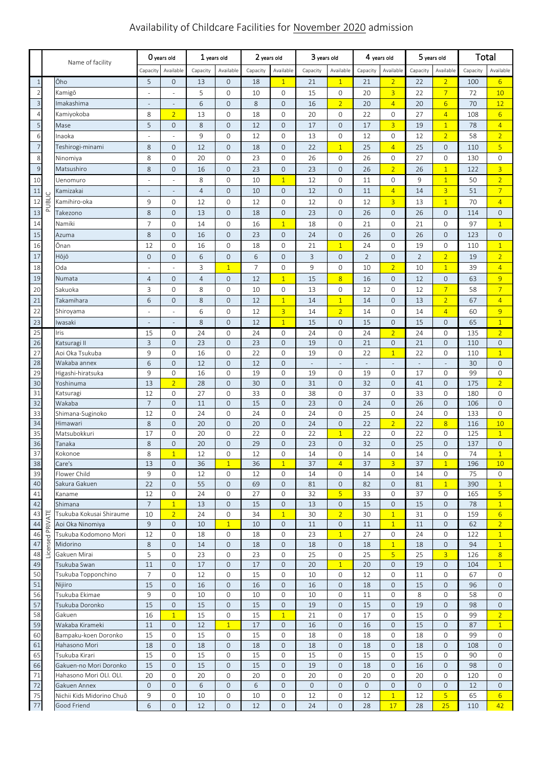# Availability of Childcare Facilities for November 2020 admission

|                 | Name of facility   |                                 | O years old         |                                    | 1 years old    |                              | 2 years old    |                              | 3 years old  |                               | 4 years old                    |                                  | 5 years old    |                                          | <b>Total</b> |                                |
|-----------------|--------------------|---------------------------------|---------------------|------------------------------------|----------------|------------------------------|----------------|------------------------------|--------------|-------------------------------|--------------------------------|----------------------------------|----------------|------------------------------------------|--------------|--------------------------------|
|                 |                    |                                 | Capacity            | Available                          | Capacity       | Available                    | Capacity       | Available                    | Capacity     | Available                     | Capacity                       | Available                        | Capacity       | Available                                | Capacity     | Available                      |
| $\mathbf{1}$    |                    | Ōho                             | 5                   | $\mathsf{O}\xspace$                | 13             | $\overline{O}$               | 18             | $\overline{1}$               | 21           | $\overline{1}$                | 21                             | $\overline{2}$                   | 22             | $\overline{2}$                           | 100          | $6 \overline{6}$               |
| $\sqrt{2}$      |                    | Kamigō                          | ÷,                  | ÷,                                 | 5              | $\mathbf 0$                  | 10             | 0                            | 15           | 0                             | 20                             | $\overline{3}$                   | 22             | $\overline{7}$                           | 72           | 10                             |
| $\overline{3}$  |                    | Imakashima                      | ÷                   | $\centering \label{eq:reduced}$    | 6              | $\overline{O}$               | 8              | $\mathbf{O}$                 | 16           | $\overline{2}$                | 20                             | $\overline{4}$                   | 20             | $6 \overline{}$                          | 70           | 12                             |
| $\overline{4}$  |                    | Kamiyokoba                      | 8                   | $\overline{2}$                     | 13             | $\circ$                      | 18             | $\mathbf{0}$                 | 20           | 0                             | 22                             | 0                                | 27             | $\overline{4}$                           | 108          | $6\overline{6}$                |
| 5               |                    | Mase                            | 5                   | $\mathsf{O}\xspace$                | 8              | $\overline{O}$               | 12             | $\mathbf{0}$                 | 17           | $\mathsf{O}\xspace$           | 17                             | $\overline{3}$                   | 19             | $\overline{1}$                           | 78           | $\overline{4}$                 |
| 6               |                    | Inaoka                          |                     |                                    | $\mathsf g$    | $\circ$                      | 12             | $\mathbf{0}$                 | 13           | 0                             | 12                             | 0                                | 12             | $\overline{2}$                           | 58           | $\overline{2}$                 |
| $\overline{7}$  |                    | Teshirogi-minami                | 8                   | $\mathsf{O}\xspace$                | 12             | $\mathbf{O}$                 | 18             | $\mathbf{0}$                 | 22           | $\mathbf{1}$                  | 25                             | $\overline{4}$                   | 25             | $\mathsf{O}\xspace$                      | 110          | $\overline{5}$                 |
| 8               |                    | Ninomiya                        | 8                   | $\mathsf{O}\xspace$                | 20             | 0                            | 23             | 0                            | 26           | 0                             | 26                             | 0                                | 27             | 0                                        | 130          | $\mathsf{O}$                   |
| $\overline{9}$  |                    | Matsushiro                      | 8                   | $\mathsf{O}\xspace$                | 16             | $\mathbf 0$                  | 23             | $\mathsf{O}\xspace$          | 23           | $\mathsf{O}\xspace$           | 26                             | $\overline{2}$                   | 26             | $\overline{1}$                           | 122          | 3 <sup>1</sup>                 |
| 10              |                    | Uenomuro                        |                     | ÷,                                 | 8              | $\circ$                      | 10             | $\overline{1}$               | 12           | 0                             | 11                             | 0                                | 9              | $\overline{1}$                           | 50           | $\overline{2}$                 |
| $11\,$          |                    | Kamizakai                       |                     | $\overline{\phantom{m}}$           | $\overline{4}$ | $\overline{O}$               | 10             | $\mathbf 0$                  | 12           | $\mathsf{O}\xspace$           | 11                             | $\overline{4}$                   | 14             | $\overline{3}$                           | 51           | $\overline{7}$                 |
| 12              | UBLIC              | Kamihiro-oka                    | 9                   | $\mathsf{O}\xspace$                | 12             | 0                            | 12             | 0                            | 12           | 0                             | 12                             | $\overline{3}$                   | 13             | $\overline{1}$                           | 70           | $\overline{4}$                 |
| 13              | $\bar{\mathbf{r}}$ | Takezono                        | $\,8\,$             | $\mathsf{O}\xspace$                | 13             | $\mathbf 0$                  | 18             | $\mathsf{O}\xspace$          | 23           | $\mathsf{O}\xspace$           | 26                             | $\mathbf{O}$                     | 26             | $\mathsf{O}\xspace$                      | 114          | $\mathbf{O}$                   |
| 14              |                    | Namiki                          | $\overline{7}$      | $\mathsf{O}\xspace$                | 14             | 0                            | 16             | $\overline{1}$               | 18           | 0                             | 21                             | 0                                | 21             | 0                                        | 97           | $\mathbf{1}$                   |
| 15              |                    | Azuma                           | $\,8\,$             | $\mathsf{O}\xspace$                | 16             | $\mathbf 0$                  | 23             | $\mathbf 0$                  | 24           | $\mathsf{O}\xspace$           | 26                             | $\mathbf{O}$                     | 26             | $\mathsf{O}\xspace$                      | 123          | $\mathbf 0$                    |
| 16              |                    | Ōnan                            | 12                  | $\mathsf{O}\xspace$                | 16             | 0                            | 18             | 0                            | 21           | $\mathbf{1}$                  | 24                             | 0                                | 19             | 0                                        | 110          | $\mathbf{1}$                   |
| 17              |                    | Hōjō                            | $\mathsf{O}\xspace$ | $\mathsf{O}\xspace$                | 6              | $\mathbf 0$                  | 6              | $\mathsf{O}\xspace$          | 3            | $\mathsf{O}\xspace$           | $\overline{2}$                 | $\mathsf{O}\xspace$              | $\overline{2}$ | $\overline{2}$                           | 19           | $\overline{2}$                 |
| 18              |                    | Oda                             |                     |                                    | 3              | $\overline{1}$               | $\overline{7}$ | 0                            | 9            | 0                             | 10                             | $\overline{2}$                   | 10             | $\overline{1}$                           | 39           | $\overline{4}$                 |
| 19              |                    | Numata                          | $\overline{4}$      | $\mathsf{O}\xspace$                | $\overline{4}$ | $\mathbf{O}$                 | 12             | $\overline{1}$               | 15           | $\overline{8}$                | 16                             | $\mathsf{O}\xspace$              | 12             | $\mathsf{O}\xspace$                      | 63           | $\overline{9}$                 |
| 20              |                    | Sakuoka                         | 3                   | $\mathsf{O}\xspace$                | 8              | 0                            | 10             | 0                            | 13           | 0                             | 12                             | 0                                | 12             | $\overline{7}$                           | 58           | $\overline{7}$                 |
| 21              |                    | Takamihara                      | 6                   | $\mathsf{O}\xspace$                | 8              | $\mathbf{O}$                 | 12             | $\overline{1}$               | 14           | $\mathbf{1}$                  | 14                             | $\mathsf{O}\xspace$              | 13             | $\overline{2}$                           | 67           | $\overline{4}$                 |
| 22              |                    | Shiroyama                       |                     | $\overline{\phantom{a}}$           | 6              | $\mathsf{O}$                 | 12             | $\overline{3}$               | 14           | $\overline{2}$                | 14                             | 0                                | 14             | $\overline{4}$                           | 60           | 9                              |
| 23              |                    | Iwasaki                         |                     | $\overline{\phantom{m}}$           | 8              | $\mathbf 0$                  | 12             | $\overline{1}$               | 15           | $\mathbf 0$                   | 15                             | $\mathsf{O}\xspace$              | 15             | $\mathsf{O}\xspace$                      | 65           | $\overline{1}$                 |
| 25              |                    | Iris                            | 15                  | 0                                  | 24             | 0                            | 24             | $\mathbf{0}$                 | 24           | $\mathbf 0$                   | 24                             | $\overline{2}$                   | 24             | $\mathbf{0}$                             | 135          | $\overline{2}$                 |
| $\overline{26}$ |                    | Katsuragi II                    | 3                   | $\mathbf 0$                        | 23             | $\overline{O}$               | 23             | $\mathbf{O}$                 | 19           | $\mathbf 0$                   | 21                             | $\mathsf{O}\xspace$              | 21             | $\mathsf{O}\xspace$                      | 110          | $\mathbf 0$                    |
| 27              |                    | Aoi Oka Tsukuba<br>Wakaba annex | 9                   | $\mathsf{O}\xspace$                | 16             | $\mathsf{O}$                 | 22             | $\mathbf{O}$                 | 19           | 0                             | 22                             | $\overline{1}$                   | 22             | 0                                        | 110          | $\overline{1}$                 |
| 28<br>29        |                    | Higashi-hiratsuka               | 6<br>9              | $\mathsf{O}\xspace$<br>$\mathbf 0$ | 12<br>16       | $\mathbf 0$<br>$\mathbf 0$   | 12<br>19       | $\mathbf{0}$<br>$\mathbf{O}$ | ÷,<br>19     | $\overline{\phantom{a}}$<br>0 | $\overline{\phantom{a}}$<br>19 | $\overline{\phantom{a}}$<br>0    | $\Box$<br>17   | $\overline{\phantom{a}}$<br>$\mathbf{O}$ | 30<br>99     | $\mathbf 0$<br>$\mathbf{O}$    |
| 30              |                    | Yoshinuma                       | 13                  | $\overline{2}$                     | 28             | $\mathbf{O}$                 | 30             | $\mathbf{0}$                 | 31           | $\mathsf{O}\xspace$           | 32                             | $\mathsf{O}\xspace$              | 41             | $\mathsf{O}\xspace$                      | 175          | $\overline{2}$                 |
| 31              |                    | Katsuragi                       | 12                  | $\mathsf{O}\xspace$                | 27             | 0                            | 33             | 0                            | 38           | 0                             | 37                             | $\mathbf 0$                      | 33             | 0                                        | 180          | 0                              |
| 32              |                    | Wakaba                          | $\overline{7}$      | $\mathbf 0$                        | 11             | $\overline{0}$               | 15             | $\mathbf 0$                  | 23           | $\mathbf 0$                   | 24                             | $\mathsf{O}\xspace$              | 26             | $\mathsf{O}\xspace$                      | 106          | $\mathbf 0$                    |
| 33              |                    | Shimana-Suginoko                | 12                  | $\mathsf{O}\xspace$                | 24             | $\overline{0}$               | 24             | $\mathbf{O}$                 | 24           | $\mathbf 0$                   | 25                             | 0                                | 24             | 0                                        | 133          | $\mathbf{O}$                   |
| $\overline{34}$ |                    | Himawari                        | 8                   | $\mathbf 0$                        | 20             | $\mathbf 0$                  | 20             | $\mathsf{O}\xspace$          | 24           | $\mathsf{O}\xspace$           | 22                             | $\overline{2}$                   | 22             | $\overline{8}$                           | 116          | 10                             |
| 35              |                    | Matsubokkuri                    | 17                  | $\mathbf 0$                        | 20             | $\mathbf 0$                  | 22             | 0                            | 22           | $\overline{1}$                | 22                             | 0                                | 22             | 0                                        | 125          | $\mathbf{1}$                   |
| 36<br>37        |                    | Tanaka                          | 8                   | $\mathbf 0$                        | 20             | $\mathbf{O}$                 | 29             | $\mathbf 0$                  | 23           | $\mathbf 0$                   | 32                             | $\mathbf 0$                      | 25             | $\mathbf 0$                              | 137          | $\mathbf 0$                    |
| 38              |                    | Kokonoe<br>Care's               | 8<br>13             | $\overline{1}$<br>$\mathbf 0$      | 12<br>36       | $\mathsf{O}$<br>$\mathbf{1}$ | 12<br>36       | $\mathbf{O}$<br>$\mathbf{1}$ | 14<br>37     | 0<br>$\overline{4}$           | 14<br>37                       | $\overline{0}$<br>$\overline{3}$ | 14<br>37       | $\mathbf 0$<br>$\mathbf{1}$              | 74<br>196    | $\mathbf{1}$<br>10             |
| 39              |                    | Flower Child                    | 9                   | $\mathbf 0$                        | 12             | 0                            | 12             | $\mathbf{0}$                 | 14           | 0                             | 14                             | 0                                | 14             | 0                                        | 75           | 0                              |
| 40              |                    | Sakura Gakuen                   | 22                  | $\mathsf{O}\xspace$                | 55             | $\mathbf 0$                  | 69             | $\mathsf{O}\xspace$          | 81           | $\mathsf{O}\xspace$           | 82                             | $\mathbf 0$                      | 81             | $\mathbf{1}$                             | 390          | $\mathbf{1}$                   |
| 41              |                    | Kaname                          | 12                  | 0                                  | 24             | 0                            | 27             | 0                            | 32           | 5 <sup>1</sup>                | 33                             | 0                                | 37             | $\mathbf{0}$                             | 165          | 5 <sup>5</sup>                 |
| 42              |                    | Shimana                         | 7                   | $\mathbf{1}$                       | 13             | 0                            | 15             | $\mathbf 0$                  | 13           | 0                             | 15                             | $\mathbf 0$                      | 15             | $\mathbf 0$                              | 78           | $\mathbf{1}$                   |
| 43              |                    | Tsukuba Kokusai Shiraume        | 10                  | $\overline{2}$                     | 24             | 0                            | 34             | $\mathbf{1}$                 | 30           | $\overline{2}$                | 30                             | $\mathbf{1}$                     | 31             | 0                                        | 159          | $6 \overline{6}$               |
| 44              |                    | Aoi Oka Ninomiya                | 9                   | $\mathbf{O}$                       | 10             | $\mathbf{1}$                 | 10             | $\mathbf{0}$                 | 11           | $\mathsf{O}\xspace$           | 11                             | $\mathbf{1}$                     | 11             | $\mathbf{O}$                             | 62           | 2 <sup>1</sup>                 |
| 46              | Licensed PRIVATE   | Tsukuba Kodomono Mori           | 12                  | $\mathbf 0$                        | 18             | 0                            | 18             | $\mathbf{0}$                 | 23           | $\overline{1}$                | 27                             | 0                                | 24             | 0                                        | 122          | $\mathbf{1}$                   |
| 47              |                    | Midorino                        | 8<br>5              | $\mathsf{O}\xspace$                | 14             | $\mathbf 0$                  | 18             | $\mathbf 0$                  | 18           | 0                             | 18                             | $\overline{1}$<br>5 <sup>1</sup> | 18             | $\mathsf{O}\xspace$                      | 94           | $\mathbf{1}$                   |
| 48<br>49        |                    | Gakuen Mirai<br>Tsukuba Swan    | 11                  | $\mathbf{0}$<br>$\mathbf{O}$       | 23<br>17       | $\mathbf{O}$<br>$\mathbf{O}$ | 23<br>17       | $\mathbf{0}$<br>$\mathbf{0}$ | 25<br>20     | 0<br>$\mathbf{1}$             | 25<br>20                       | $\mathbf 0$                      | 25<br>19       | $\overline{3}$<br>$\mathbf{O}$           | 126<br>104   | 8 <sup>2</sup><br>$\mathbf{1}$ |
| 50              |                    | Tsukuba Topponchino             | 7                   | 0                                  | 12             | $\mathbf 0$                  | 15             | 0                            | 10           | 0                             | 12                             | 0                                | 11             | 0                                        | 67           | 0                              |
| 51              |                    | Nijiiro                         | 15                  | $\mathbf 0$                        | 16             | $\mathbf 0$                  | 16             | $\mathbf 0$                  | 16           | 0                             | 18                             | $\mathbf 0$                      | 15             | $\mathbf 0$                              | 96           | $\mathbf 0$                    |
| 56              |                    | Tsukuba Ekimae                  | 9                   | $\mathbf{O}$                       | 10             | $\circ$                      | 10             | $\mathbf{0}$                 | 10           | 0                             | 11                             | 0                                | 8              | 0                                        | 58           | $\mathsf{O}$                   |
| 57              |                    | Tsukuba Doronko                 | 15                  | $\mathsf{O}\xspace$                | 15             | $\mathbf 0$                  | 15             | $\mathbf{0}$                 | 19           | $\mathsf{O}\xspace$           | 15                             | $\mathbf 0$                      | 19             | $\mathbf 0$                              | 98           | $\mathbf 0$                    |
| 58              |                    | Gakuen                          | 16                  | $\mathbf{1}$                       | 15             | 0                            | 15             | $\mathbf{1}$                 | 21           | 0                             | 17                             | 0                                | 15             | 0                                        | 99           | $\overline{2}$                 |
| 59              |                    | Wakaba Kirameki                 | 11                  | $\mathbf 0$                        | 12             | $\mathbf{1}$                 | 17             | $\mathbf 0$                  | 16           | 0                             | 16                             | $\mathbf 0$                      | 15             | $\mathbf 0$                              | 87           | $\mathbf{1}$                   |
| 60              |                    | Bampaku-koen Doronko            | 15                  | 0                                  | 15             | 0                            | 15             | $\mathbf{0}$                 | 18           | $\mathsf O$                   | 18                             | 0                                | 18             | 0                                        | 99           | $\mathbf 0$                    |
| 61<br>65        |                    | Hahasono Mori<br>Tsukuba Kirari | 18<br>15            | $\mathbf 0$<br>$\mathsf{O}\xspace$ | 18<br>15       | $\mathbf 0$<br>0             | 18<br>15       | $\mathbf 0$<br>$\mathbf{0}$  | 18<br>15     | 0<br>0                        | 18<br>15                       | $\mathbf 0$                      | 18<br>15       | $\mathbf{0}$<br>0                        | 108<br>90    | $\mathbf 0$<br>$\mathbf{0}$    |
| 66              |                    | Gakuen-no Mori Doronko          | 15                  | $\mathbf{0}$                       | 15             | $\overline{O}$               | 15             | $\mathbf{0}$                 | 19           | $\mathbf{0}$                  | 18                             | 0<br>$\mathbf 0$                 | 16             | $\mathbf 0$                              | 98           | $\mathbf 0$                    |
| 71              |                    | Hahasono Mori OLI. OLI.         | 20                  | $\mathbf{O}$                       | 20             | 0                            | 20             | $\mathbf{0}$                 | 20           | 0                             | 20                             | 0                                | 20             | 0                                        | 120          | 0                              |
| 72              |                    | Gakuen Annex                    | $\overline{0}$      | $\mathbf{0}$                       | 6              | $\mathbf{O}$                 | 6              | $\mathbf 0$                  | $\mathbf{0}$ | $\mathbf{O}$                  | $\mathbf{O}$                   | $\mathbf 0$                      | 0              | 0                                        | 12           | $\mathbf{0}$                   |
| 75              |                    | Nichii Kids Midorino Chuō       | 9                   | 0                                  | 10             | 0                            | 10             | 0                            | 12           | 0                             | 12                             | $\mathbf{1}$                     | 12             | 5                                        | 65           | 6 <sup>1</sup>                 |
| 77              |                    | Good Friend                     | 6                   | $\mathsf{O}\xspace$                | 12             | $\mathbf 0$                  | 12             | $\mathsf{O}\xspace$          | 24           | $\mathsf{O}\xspace$           | 28                             | 17                               | 28             | 25                                       | 110          | 42                             |